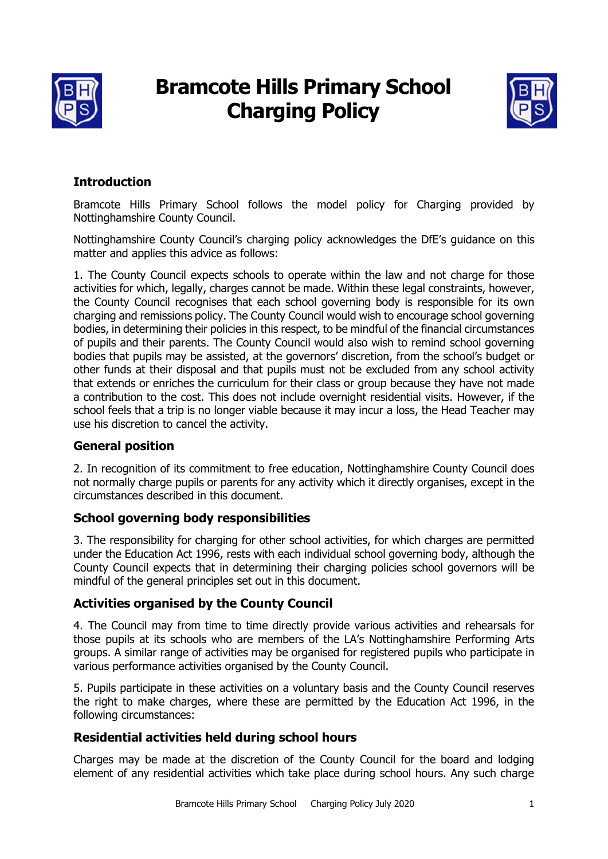

# **Bramcote Hills Primary School Charging Policy**



# **Introduction**

Bramcote Hills Primary School follows the model policy for Charging provided by Nottinghamshire County Council.

Nottinghamshire County Council's charging policy acknowledges the DfE's guidance on this matter and applies this advice as follows:

1. The County Council expects schools to operate within the law and not charge for those activities for which, legally, charges cannot be made. Within these legal constraints, however, the County Council recognises that each school governing body is responsible for its own charging and remissions policy. The County Council would wish to encourage school governing bodies, in determining their policies in this respect, to be mindful of the financial circumstances of pupils and their parents. The County Council would also wish to remind school governing bodies that pupils may be assisted, at the governors' discretion, from the school's budget or other funds at their disposal and that pupils must not be excluded from any school activity that extends or enriches the curriculum for their class or group because they have not made a contribution to the cost. This does not include overnight residential visits. However, if the school feels that a trip is no longer viable because it may incur a loss, the Head Teacher may use his discretion to cancel the activity.

## **General position**

2. In recognition of its commitment to free education, Nottinghamshire County Council does not normally charge pupils or parents for any activity which it directly organises, except in the circumstances described in this document.

#### **School governing body responsibilities**

3. The responsibility for charging for other school activities, for which charges are permitted under the Education Act 1996, rests with each individual school governing body, although the County Council expects that in determining their charging policies school governors will be mindful of the general principles set out in this document.

## **Activities organised by the County Council**

4. The Council may from time to time directly provide various activities and rehearsals for those pupils at its schools who are members of the LA's Nottinghamshire Performing Arts groups. A similar range of activities may be organised for registered pupils who participate in various performance activities organised by the County Council.

5. Pupils participate in these activities on a voluntary basis and the County Council reserves the right to make charges, where these are permitted by the Education Act 1996, in the following circumstances:

## **Residential activities held during school hours**

Charges may be made at the discretion of the County Council for the board and lodging element of any residential activities which take place during school hours. Any such charge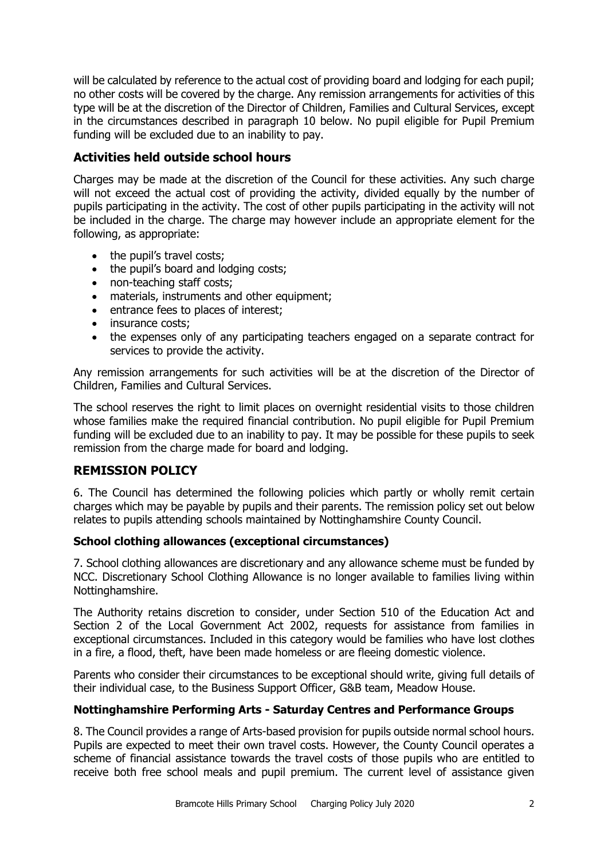will be calculated by reference to the actual cost of providing board and lodging for each pupil; no other costs will be covered by the charge. Any remission arrangements for activities of this type will be at the discretion of the Director of Children, Families and Cultural Services, except in the circumstances described in paragraph 10 below. No pupil eligible for Pupil Premium funding will be excluded due to an inability to pay.

## **Activities held outside school hours**

Charges may be made at the discretion of the Council for these activities. Any such charge will not exceed the actual cost of providing the activity, divided equally by the number of pupils participating in the activity. The cost of other pupils participating in the activity will not be included in the charge. The charge may however include an appropriate element for the following, as appropriate:

- the pupil's travel costs;
- the pupil's board and lodging costs;
- non-teaching staff costs;
- materials, instruments and other equipment;
- entrance fees to places of interest;
- insurance costs:
- the expenses only of any participating teachers engaged on a separate contract for services to provide the activity.

Any remission arrangements for such activities will be at the discretion of the Director of Children, Families and Cultural Services.

The school reserves the right to limit places on overnight residential visits to those children whose families make the required financial contribution. No pupil eligible for Pupil Premium funding will be excluded due to an inability to pay. It may be possible for these pupils to seek remission from the charge made for board and lodging.

## **REMISSION POLICY**

6. The Council has determined the following policies which partly or wholly remit certain charges which may be payable by pupils and their parents. The remission policy set out below relates to pupils attending schools maintained by Nottinghamshire County Council.

#### **School clothing allowances (exceptional circumstances)**

7. School clothing allowances are discretionary and any allowance scheme must be funded by NCC. Discretionary School Clothing Allowance is no longer available to families living within Nottinghamshire.

The Authority retains discretion to consider, under Section 510 of the Education Act and Section 2 of the Local Government Act 2002, requests for assistance from families in exceptional circumstances. Included in this category would be families who have lost clothes in a fire, a flood, theft, have been made homeless or are fleeing domestic violence.

Parents who consider their circumstances to be exceptional should write, giving full details of their individual case, to the Business Support Officer, G&B team, Meadow House.

#### **Nottinghamshire Performing Arts - Saturday Centres and Performance Groups**

8. The Council provides a range of Arts-based provision for pupils outside normal school hours. Pupils are expected to meet their own travel costs. However, the County Council operates a scheme of financial assistance towards the travel costs of those pupils who are entitled to receive both free school meals and pupil premium. The current level of assistance given